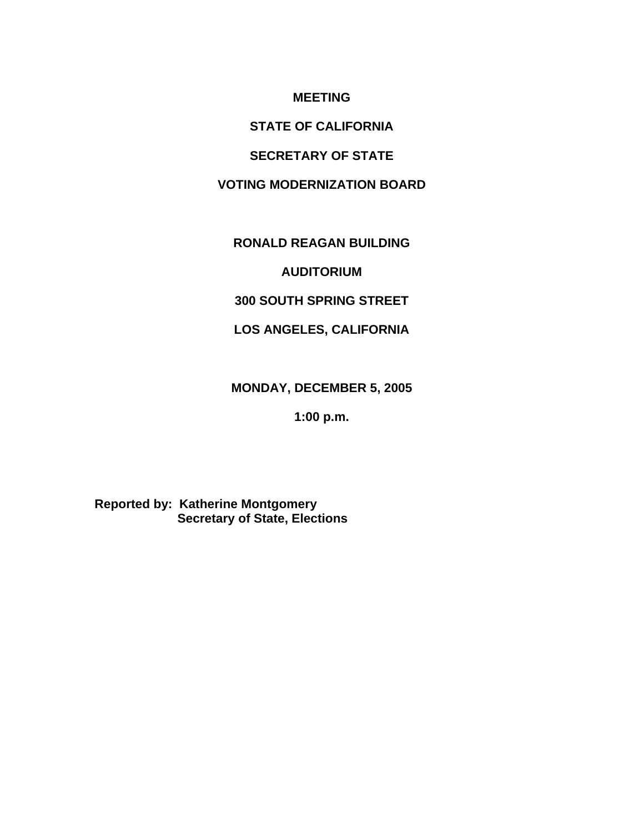## **MEETING**

# **STATE OF CALIFORNIA**

## **SECRETARY OF STATE**

## **VOTING MODERNIZATION BOARD**

## **RONALD REAGAN BUILDING**

## **AUDITORIUM**

## **300 SOUTH SPRING STREET**

# **LOS ANGELES, CALIFORNIA**

# **MONDAY, DECEMBER 5, 2005**

# **1:00 p.m.**

# **Reported by: Katherine Montgomery Secretary of State, Elections**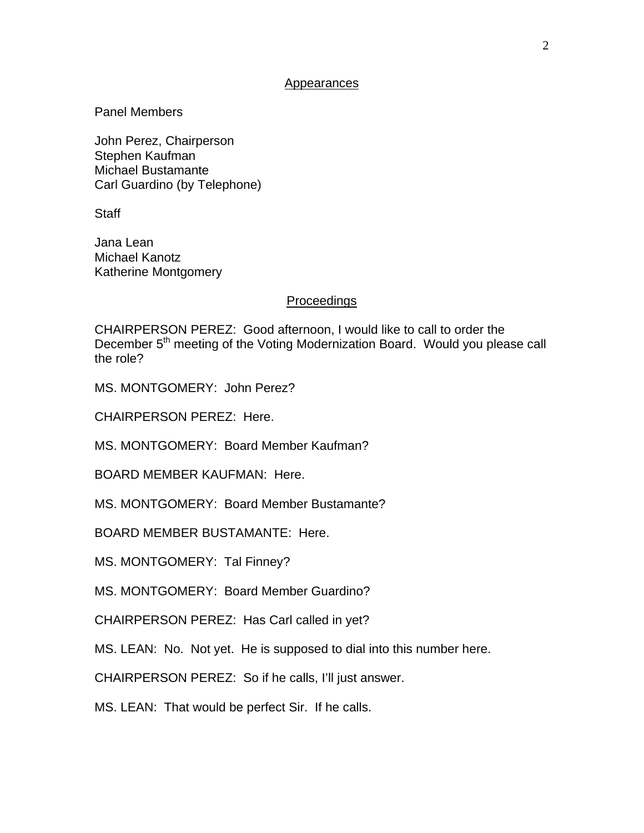#### Appearances

Panel Members

John Perez, Chairperson Stephen Kaufman Michael Bustamante Carl Guardino (by Telephone)

**Staff** 

Jana Lean Michael Kanotz Katherine Montgomery

### **Proceedings**

CHAIRPERSON PEREZ: Good afternoon, I would like to call to order the December 5<sup>th</sup> meeting of the Voting Modernization Board. Would you please call the role?

MS. MONTGOMERY: John Perez?

CHAIRPERSON PEREZ: Here.

MS. MONTGOMERY: Board Member Kaufman?

BOARD MEMBER KAUFMAN: Here.

MS. MONTGOMERY: Board Member Bustamante?

BOARD MEMBER BUSTAMANTE: Here.

MS. MONTGOMERY: Tal Finney?

MS. MONTGOMERY: Board Member Guardino?

CHAIRPERSON PEREZ: Has Carl called in yet?

MS. LEAN: No. Not yet. He is supposed to dial into this number here.

CHAIRPERSON PEREZ: So if he calls, I'll just answer.

MS. LEAN: That would be perfect Sir. If he calls.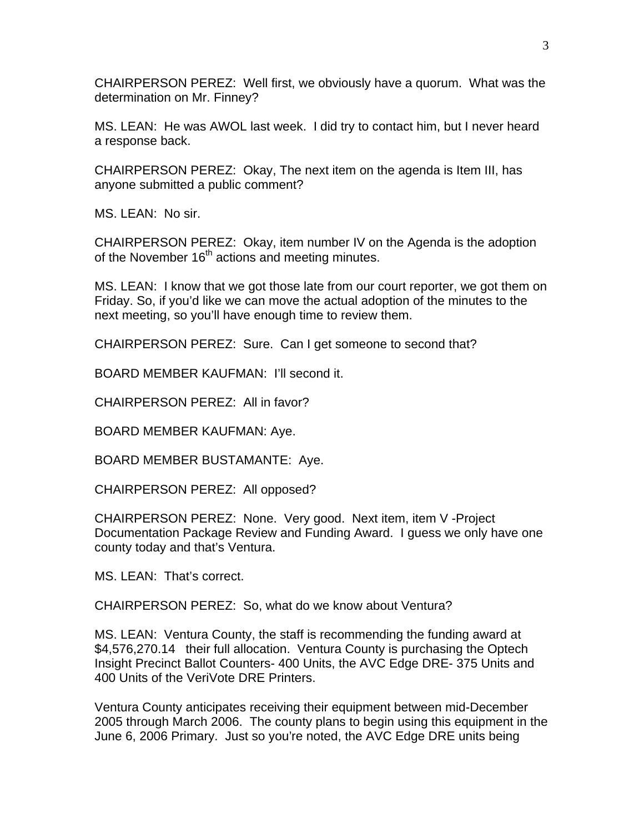CHAIRPERSON PEREZ: Well first, we obviously have a quorum. What was the determination on Mr. Finney?

MS. LEAN: He was AWOL last week. I did try to contact him, but I never heard a response back.

CHAIRPERSON PEREZ: Okay, The next item on the agenda is Item III, has anyone submitted a public comment?

MS. LEAN: No sir.

CHAIRPERSON PEREZ: Okay, item number IV on the Agenda is the adoption of the November  $16<sup>th</sup>$  actions and meeting minutes.

MS. LEAN: I know that we got those late from our court reporter, we got them on Friday. So, if you'd like we can move the actual adoption of the minutes to the next meeting, so you'll have enough time to review them.

CHAIRPERSON PEREZ: Sure. Can I get someone to second that?

BOARD MEMBER KAUFMAN: I'll second it.

CHAIRPERSON PEREZ: All in favor?

BOARD MEMBER KAUFMAN: Aye.

BOARD MEMBER BUSTAMANTE: Aye.

CHAIRPERSON PEREZ: All opposed?

CHAIRPERSON PEREZ: None. Very good. Next item, item V -Project Documentation Package Review and Funding Award. I guess we only have one county today and that's Ventura.

MS. LEAN: That's correct.

CHAIRPERSON PEREZ: So, what do we know about Ventura?

MS. LEAN: Ventura County, the staff is recommending the funding award at \$4,576,270.14 their full allocation. Ventura County is purchasing the Optech Insight Precinct Ballot Counters- 400 Units, the AVC Edge DRE- 375 Units and 400 Units of the VeriVote DRE Printers.

Ventura County anticipates receiving their equipment between mid-December 2005 through March 2006. The county plans to begin using this equipment in the June 6, 2006 Primary. Just so you're noted, the AVC Edge DRE units being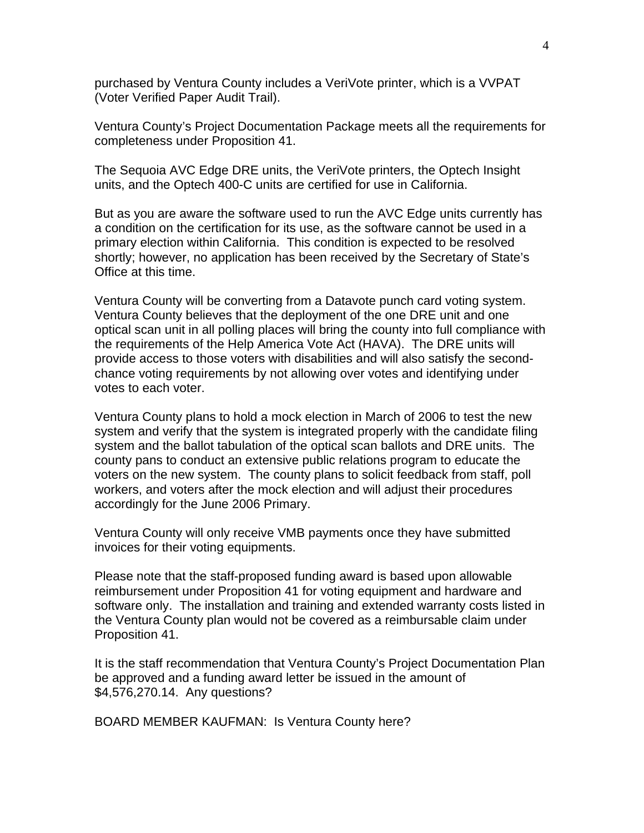purchased by Ventura County includes a VeriVote printer, which is a VVPAT (Voter Verified Paper Audit Trail).

Ventura County's Project Documentation Package meets all the requirements for completeness under Proposition 41.

The Sequoia AVC Edge DRE units, the VeriVote printers, the Optech Insight units, and the Optech 400-C units are certified for use in California.

But as you are aware the software used to run the AVC Edge units currently has a condition on the certification for its use, as the software cannot be used in a primary election within California. This condition is expected to be resolved shortly; however, no application has been received by the Secretary of State's Office at this time.

Ventura County will be converting from a Datavote punch card voting system. Ventura County believes that the deployment of the one DRE unit and one optical scan unit in all polling places will bring the county into full compliance with the requirements of the Help America Vote Act (HAVA). The DRE units will provide access to those voters with disabilities and will also satisfy the secondchance voting requirements by not allowing over votes and identifying under votes to each voter.

Ventura County plans to hold a mock election in March of 2006 to test the new system and verify that the system is integrated properly with the candidate filing system and the ballot tabulation of the optical scan ballots and DRE units. The county pans to conduct an extensive public relations program to educate the voters on the new system. The county plans to solicit feedback from staff, poll workers, and voters after the mock election and will adjust their procedures accordingly for the June 2006 Primary.

Ventura County will only receive VMB payments once they have submitted invoices for their voting equipments.

Please note that the staff-proposed funding award is based upon allowable reimbursement under Proposition 41 for voting equipment and hardware and software only. The installation and training and extended warranty costs listed in the Ventura County plan would not be covered as a reimbursable claim under Proposition 41.

It is the staff recommendation that Ventura County's Project Documentation Plan be approved and a funding award letter be issued in the amount of \$4,576,270.14. Any questions?

BOARD MEMBER KAUFMAN: Is Ventura County here?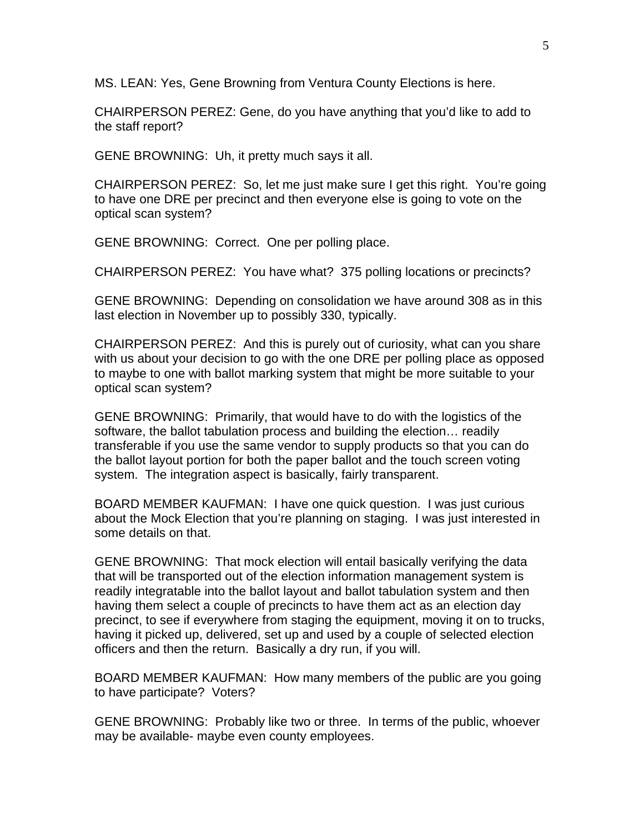MS. LEAN: Yes, Gene Browning from Ventura County Elections is here.

CHAIRPERSON PEREZ: Gene, do you have anything that you'd like to add to the staff report?

GENE BROWNING: Uh, it pretty much says it all.

CHAIRPERSON PEREZ: So, let me just make sure I get this right. You're going to have one DRE per precinct and then everyone else is going to vote on the optical scan system?

GENE BROWNING: Correct. One per polling place.

CHAIRPERSON PEREZ: You have what? 375 polling locations or precincts?

GENE BROWNING: Depending on consolidation we have around 308 as in this last election in November up to possibly 330, typically.

CHAIRPERSON PEREZ: And this is purely out of curiosity, what can you share with us about your decision to go with the one DRE per polling place as opposed to maybe to one with ballot marking system that might be more suitable to your optical scan system?

GENE BROWNING: Primarily, that would have to do with the logistics of the software, the ballot tabulation process and building the election… readily transferable if you use the same vendor to supply products so that you can do the ballot layout portion for both the paper ballot and the touch screen voting system. The integration aspect is basically, fairly transparent.

BOARD MEMBER KAUFMAN: I have one quick question. I was just curious about the Mock Election that you're planning on staging. I was just interested in some details on that.

GENE BROWNING: That mock election will entail basically verifying the data that will be transported out of the election information management system is readily integratable into the ballot layout and ballot tabulation system and then having them select a couple of precincts to have them act as an election day precinct, to see if everywhere from staging the equipment, moving it on to trucks, having it picked up, delivered, set up and used by a couple of selected election officers and then the return. Basically a dry run, if you will.

BOARD MEMBER KAUFMAN: How many members of the public are you going to have participate? Voters?

GENE BROWNING: Probably like two or three. In terms of the public, whoever may be available- maybe even county employees.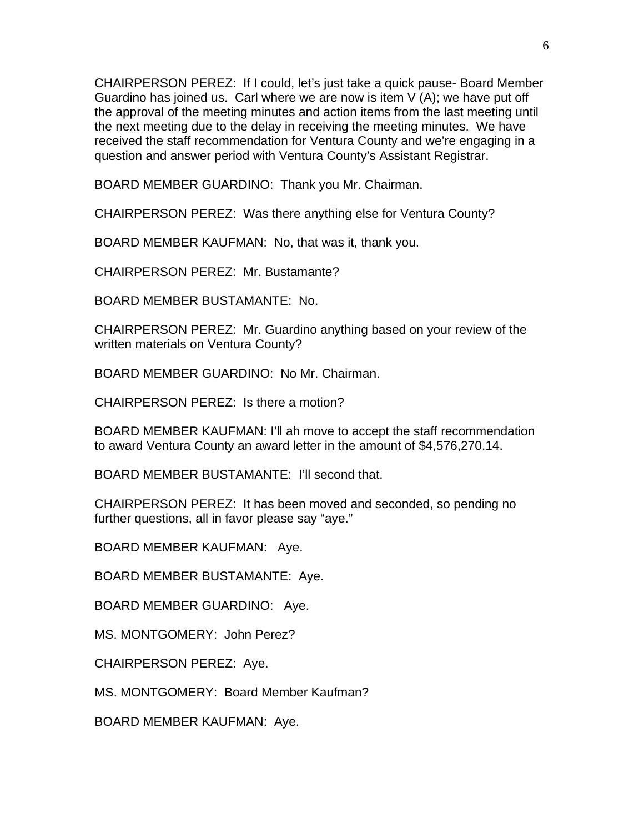CHAIRPERSON PEREZ: If I could, let's just take a quick pause- Board Member Guardino has joined us. Carl where we are now is item V (A); we have put off the approval of the meeting minutes and action items from the last meeting until the next meeting due to the delay in receiving the meeting minutes. We have received the staff recommendation for Ventura County and we're engaging in a question and answer period with Ventura County's Assistant Registrar.

BOARD MEMBER GUARDINO: Thank you Mr. Chairman.

CHAIRPERSON PEREZ: Was there anything else for Ventura County?

BOARD MEMBER KAUFMAN: No, that was it, thank you.

CHAIRPERSON PEREZ: Mr. Bustamante?

BOARD MEMBER BUSTAMANTE: No.

CHAIRPERSON PEREZ: Mr. Guardino anything based on your review of the written materials on Ventura County?

BOARD MEMBER GUARDINO: No Mr. Chairman.

CHAIRPERSON PEREZ: Is there a motion?

BOARD MEMBER KAUFMAN: I'll ah move to accept the staff recommendation to award Ventura County an award letter in the amount of \$4,576,270.14.

BOARD MEMBER BUSTAMANTE: I'll second that.

CHAIRPERSON PEREZ: It has been moved and seconded, so pending no further questions, all in favor please say "aye."

BOARD MEMBER KAUFMAN: Aye.

BOARD MEMBER BUSTAMANTE: Aye.

BOARD MEMBER GUARDINO: Aye.

MS. MONTGOMERY: John Perez?

CHAIRPERSON PEREZ: Aye.

MS. MONTGOMERY: Board Member Kaufman?

BOARD MEMBER KAUFMAN: Aye.